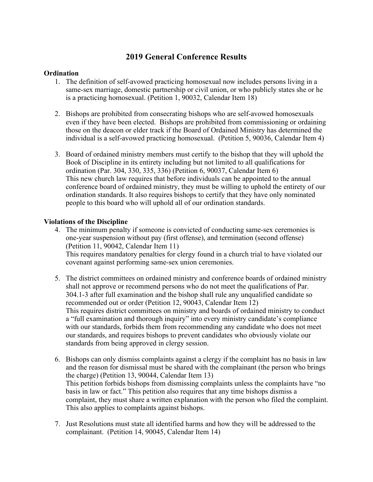# **2019 General Conference Results**

## **Ordination**

- 1. The definition of self-avowed practicing homosexual now includes persons living in a same-sex marriage, domestic partnership or civil union, or who publicly states she or he is a practicing homosexual. (Petition 1, 90032, Calendar Item 18)
- 2. Bishops are prohibited from consecrating bishops who are self-avowed homosexuals even if they have been elected. Bishops are prohibited from commissioning or ordaining those on the deacon or elder track if the Board of Ordained Ministry has determined the individual is a self-avowed practicing homosexual. (Petition 5, 90036, Calendar Item 4)
- 3. Board of ordained ministry members must certify to the bishop that they will uphold the Book of Discipline in its entirety including but not limited to all qualifications for ordination (Par. 304, 330, 335, 336) (Petition 6, 90037, Calendar Item 6) This new church law requires that before individuals can be appointed to the annual conference board of ordained ministry, they must be willing to uphold the entirety of our ordination standards. It also requires bishops to certify that they have only nominated people to this board who will uphold all of our ordination standards.

## **Violations of the Discipline**

- 4. The minimum penalty if someone is convicted of conducting same-sex ceremonies is one-year suspension without pay (first offense), and termination (second offense) (Petition 11, 90042, Calendar Item 11) This requires mandatory penalties for clergy found in a church trial to have violated our covenant against performing same-sex union ceremonies.
- 5. The district committees on ordained ministry and conference boards of ordained ministry shall not approve or recommend persons who do not meet the qualifications of Par. 304.1-3 after full examination and the bishop shall rule any unqualified candidate so recommended out or order (Petition 12, 90043, Calendar Item 12) This requires district committees on ministry and boards of ordained ministry to conduct a "full examination and thorough inquiry" into every ministry candidate's compliance with our standards, forbids them from recommending any candidate who does not meet our standards, and requires bishops to prevent candidates who obviously violate our standards from being approved in clergy session.
- 6. Bishops can only dismiss complaints against a clergy if the complaint has no basis in law and the reason for dismissal must be shared with the complainant (the person who brings the charge) (Petition 13, 90044, Calendar Item 13) This petition forbids bishops from dismissing complaints unless the complaints have "no basis in law or fact." This petition also requires that any time bishops dismiss a complaint, they must share a written explanation with the person who filed the complaint. This also applies to complaints against bishops.
- 7. Just Resolutions must state all identified harms and how they will be addressed to the complainant. (Petition 14, 90045, Calendar Item 14)